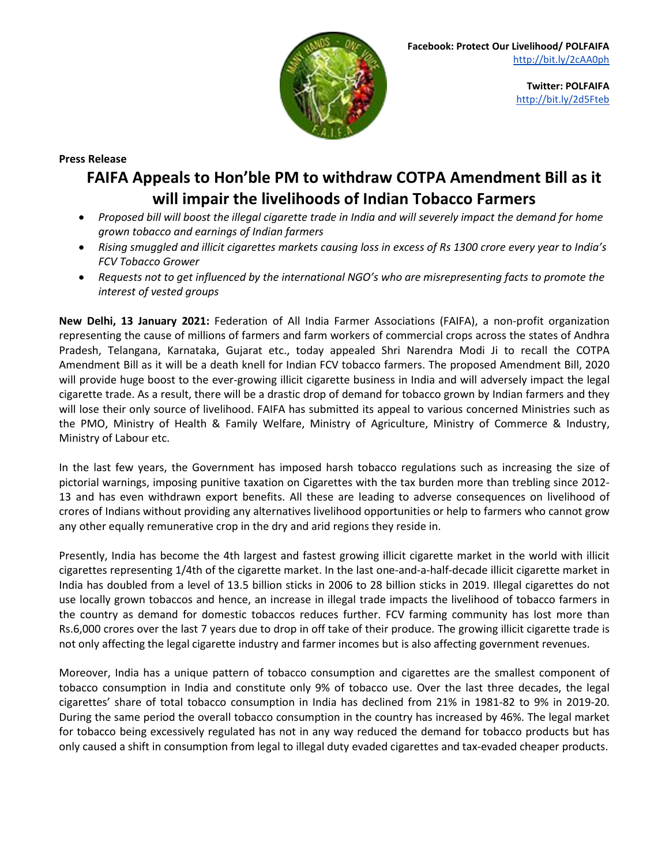

**Press Release**

## **FAIFA Appeals to Hon'ble PM to withdraw COTPA Amendment Bill as it will impair the livelihoods of Indian Tobacco Farmers**

- Proposed bill will boost the illegal cigarette trade in India and will severely impact the demand for home *grown tobacco and earnings of Indian farmers*
- Rising smuggled and illicit cigarettes markets causing loss in excess of Rs 1300 crore every year to India's *FCV Tobacco Grower*
- *Requests not to get influenced by the international NGO's who are misrepresenting facts to promote the interest of vested groups*

**New Delhi, 13 January 2021:** Federation of All India Farmer Associations (FAIFA), a non-profit organization representing the cause of millions of farmers and farm workers of commercial crops across the states of Andhra Pradesh, Telangana, Karnataka, Gujarat etc., today appealed Shri Narendra Modi Ji to recall the COTPA Amendment Bill as it will be a death knell for Indian FCV tobacco farmers. The proposed Amendment Bill, 2020 will provide huge boost to the ever-growing illicit cigarette business in India and will adversely impact the legal cigarette trade. As a result, there will be a drastic drop of demand for tobacco grown by Indian farmers and they will lose their only source of livelihood. FAIFA has submitted its appeal to various concerned Ministries such as the PMO, Ministry of Health & Family Welfare, Ministry of Agriculture, Ministry of Commerce & Industry, Ministry of Labour etc.

In the last few years, the Government has imposed harsh tobacco regulations such as increasing the size of pictorial warnings, imposing punitive taxation on Cigarettes with the tax burden more than trebling since 2012- 13 and has even withdrawn export benefits. All these are leading to adverse consequences on livelihood of crores of Indians without providing any alternatives livelihood opportunities or help to farmers who cannot grow any other equally remunerative crop in the dry and arid regions they reside in.

Presently, India has become the 4th largest and fastest growing illicit cigarette market in the world with illicit cigarettes representing 1/4th of the cigarette market. In the last one-and-a-half-decade illicit cigarette market in India has doubled from a level of 13.5 billion sticks in 2006 to 28 billion sticks in 2019. Illegal cigarettes do not use locally grown tobaccos and hence, an increase in illegal trade impacts the livelihood of tobacco farmers in the country as demand for domestic tobaccos reduces further. FCV farming community has lost more than Rs.6,000 crores over the last 7 years due to drop in off take of their produce. The growing illicit cigarette trade is not only affecting the legal cigarette industry and farmer incomes but is also affecting government revenues.

Moreover, India has a unique pattern of tobacco consumption and cigarettes are the smallest component of tobacco consumption in India and constitute only 9% of tobacco use. Over the last three decades, the legal cigarettes' share of total tobacco consumption in India has declined from 21% in 1981-82 to 9% in 2019-20. During the same period the overall tobacco consumption in the country has increased by 46%. The legal market for tobacco being excessively regulated has not in any way reduced the demand for tobacco products but has only caused a shift in consumption from legal to illegal duty evaded cigarettes and tax-evaded cheaper products.